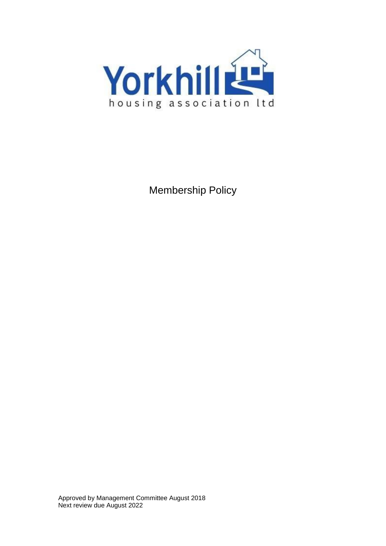

Membership Policy

Approved by Management Committee August 2018 Next review due August 2022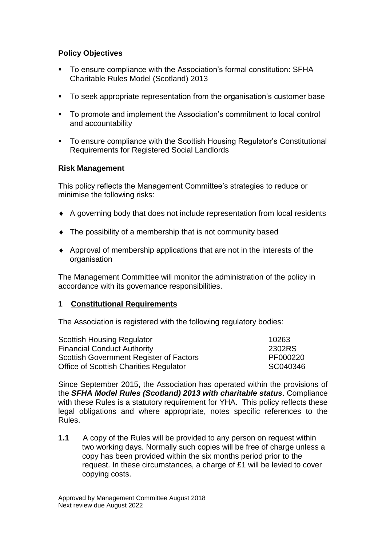# **Policy Objectives**

- To ensure compliance with the Association's formal constitution: SFHA Charitable Rules Model (Scotland) 2013
- To seek appropriate representation from the organisation's customer base
- To promote and implement the Association's commitment to local control and accountability
- To ensure compliance with the Scottish Housing Regulator's Constitutional Requirements for Registered Social Landlords

## **Risk Management**

This policy reflects the Management Committee's strategies to reduce or minimise the following risks:

- A governing body that does not include representation from local residents
- The possibility of a membership that is not community based
- Approval of membership applications that are not in the interests of the organisation

The Management Committee will monitor the administration of the policy in accordance with its governance responsibilities.

#### **1 Constitutional Requirements**

The Association is registered with the following regulatory bodies:

| <b>Scottish Housing Regulator</b>       | 10263    |
|-----------------------------------------|----------|
| <b>Financial Conduct Authority</b>      | 2302RS   |
| Scottish Government Register of Factors | PF000220 |
| Office of Scottish Charities Regulator  | SC040346 |

Since September 2015, the Association has operated within the provisions of the *SFHA Model Rules (Scotland) 2013 with charitable status*. Compliance with these Rules is a statutory requirement for YHA. This policy reflects these legal obligations and where appropriate, notes specific references to the Rules.

**1.1** A copy of the Rules will be provided to any person on request within two working days. Normally such copies will be free of charge unless a copy has been provided within the six months period prior to the request. In these circumstances, a charge of £1 will be levied to cover copying costs.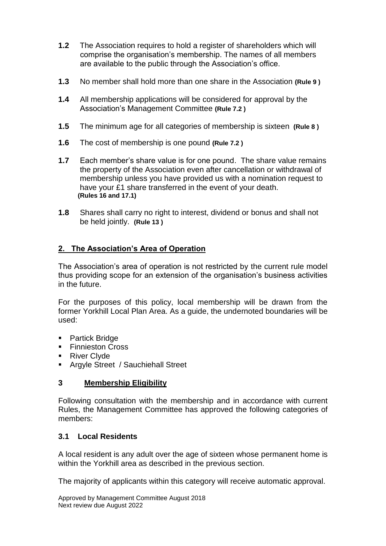- **1.2** The Association requires to hold a register of shareholders which will comprise the organisation's membership. The names of all members are available to the public through the Association's office.
- **1.3** No member shall hold more than one share in the Association **(Rule 9 )**
- **1.4** All membership applications will be considered for approval by the Association's Management Committee **(Rule 7.2 )**
- **1.5** The minimum age for all categories of membership is sixteen **(Rule 8 )**
- **1.6** The cost of membership is one pound **(Rule 7.2 )**
- **1.7** Each member's share value is for one pound. The share value remains the property of the Association even after cancellation or withdrawal of membership unless you have provided us with a nomination request to have your £1 share transferred in the event of your death. **(Rules 16 and 17.1)**
- **1.8** Shares shall carry no right to interest, dividend or bonus and shall not be held jointly. **(Rule 13 )**

# **2. The Association's Area of Operation**

The Association's area of operation is not restricted by the current rule model thus providing scope for an extension of the organisation's business activities in the future.

For the purposes of this policy, local membership will be drawn from the former Yorkhill Local Plan Area. As a guide, the undernoted boundaries will be used:

- Partick Bridge
- **Finnieston Cross**
- **River Clyde**
- **Argyle Street / Sauchiehall Street**

#### **3 Membership Eligibility**

Following consultation with the membership and in accordance with current Rules, the Management Committee has approved the following categories of members:

#### **3.1 Local Residents**

A local resident is any adult over the age of sixteen whose permanent home is within the Yorkhill area as described in the previous section.

The majority of applicants within this category will receive automatic approval.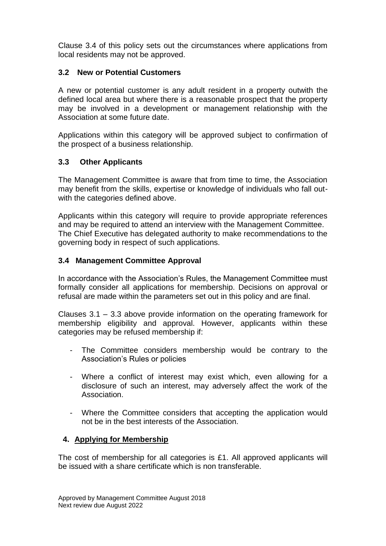Clause 3.4 of this policy sets out the circumstances where applications from local residents may not be approved.

## **3.2 New or Potential Customers**

A new or potential customer is any adult resident in a property outwith the defined local area but where there is a reasonable prospect that the property may be involved in a development or management relationship with the Association at some future date.

Applications within this category will be approved subject to confirmation of the prospect of a business relationship.

## **3.3 Other Applicants**

The Management Committee is aware that from time to time, the Association may benefit from the skills, expertise or knowledge of individuals who fall outwith the categories defined above.

Applicants within this category will require to provide appropriate references and may be required to attend an interview with the Management Committee. The Chief Executive has delegated authority to make recommendations to the governing body in respect of such applications.

## **3.4 Management Committee Approval**

In accordance with the Association's Rules, the Management Committee must formally consider all applications for membership. Decisions on approval or refusal are made within the parameters set out in this policy and are final.

Clauses 3.1 – 3.3 above provide information on the operating framework for membership eligibility and approval. However, applicants within these categories may be refused membership if:

- The Committee considers membership would be contrary to the Association's Rules or policies
- Where a conflict of interest may exist which, even allowing for a disclosure of such an interest, may adversely affect the work of the Association.
- Where the Committee considers that accepting the application would not be in the best interests of the Association.

#### **4. Applying for Membership**

The cost of membership for all categories is £1. All approved applicants will be issued with a share certificate which is non transferable.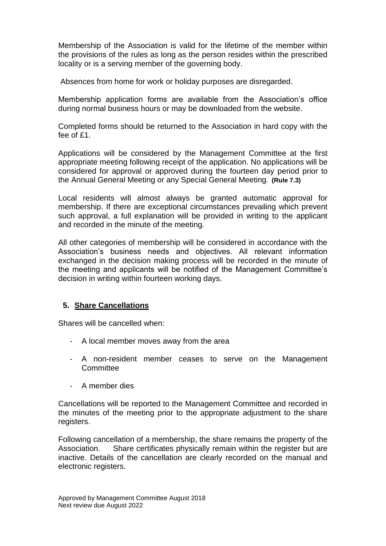Membership of the Association is valid for the lifetime of the member within the provisions of the rules as long as the person resides within the prescribed locality or is a serving member of the governing body.

Absences from home for work or holiday purposes are disregarded.

Membership application forms are available from the Association's office during normal business hours or may be downloaded from the website.

Completed forms should be returned to the Association in hard copy with the fee of £1.

Applications will be considered by the Management Committee at the first appropriate meeting following receipt of the application. No applications will be considered for approval or approved during the fourteen day period prior to the Annual General Meeting or any Special General Meeting. **(Rule 7.3)**

Local residents will almost always be granted automatic approval for membership. If there are exceptional circumstances prevailing which prevent such approval, a full explanation will be provided in writing to the applicant and recorded in the minute of the meeting.

All other categories of membership will be considered in accordance with the Association's business needs and objectives. All relevant information exchanged in the decision making process will be recorded in the minute of the meeting and applicants will be notified of the Management Committee's decision in writing within fourteen working days.

#### **5. Share Cancellations**

Shares will be cancelled when:

- A local member moves away from the area
- A non-resident member ceases to serve on the Management **Committee**
- A member dies

Cancellations will be reported to the Management Committee and recorded in the minutes of the meeting prior to the appropriate adjustment to the share registers.

Following cancellation of a membership, the share remains the property of the Association. Share certificates physically remain within the register but are inactive. Details of the cancellation are clearly recorded on the manual and electronic registers.